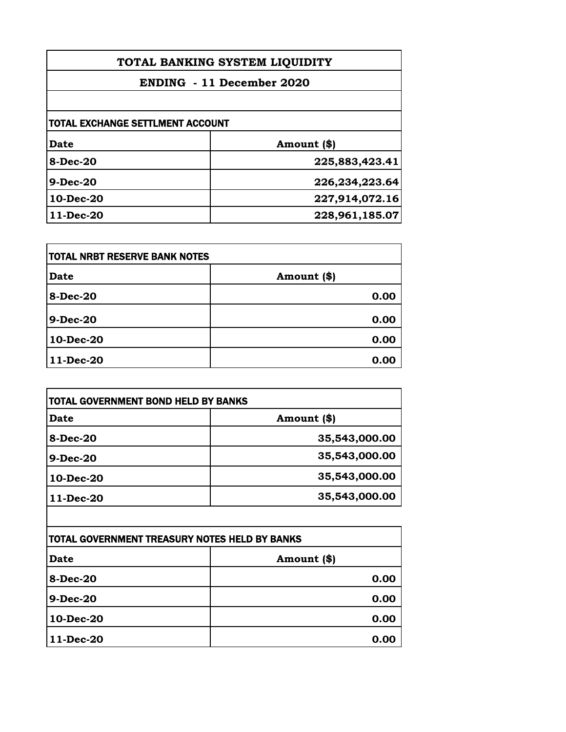| TOTAL BANKING SYSTEM LIQUIDITY          |                |
|-----------------------------------------|----------------|
| <b>ENDING</b> - 11 December 2020        |                |
|                                         |                |
| <b>TOTAL EXCHANGE SETTLMENT ACCOUNT</b> |                |
| Date                                    | Amount (\$)    |
| <b>8-Dec-20</b>                         | 225,883,423.41 |
| <b>9-Dec-20</b>                         | 226,234,223.64 |
| 10-Dec-20                               | 227,914,072.16 |
| 11-Dec-20                               | 228,961,185.07 |

| itotal NRBT RESERVE BANK NOTES |             |
|--------------------------------|-------------|
| <b>Date</b>                    | Amount (\$) |
| 8-Dec-20                       | 0.00        |
| $9-Dec-20$                     | 0.00        |
| 10-Dec-20                      | 0.00        |
| 11-Dec-20                      | 0.00        |

| <b>Date</b>     | Amount (\$)   |
|-----------------|---------------|
| <b>8-Dec-20</b> | 35,543,000.00 |
| <b>9-Dec-20</b> | 35,543,000.00 |
| 10-Dec-20       | 35,543,000.00 |
| $11$ -Dec-20    | 35,543,000.00 |

| TOTAL GOVERNMENT TREASURY NOTES HELD BY BANKS |             |
|-----------------------------------------------|-------------|
| <b>Date</b>                                   | Amount (\$) |
| 8-Dec-20                                      | 0.00        |
| 9-Dec-20                                      | 0.00        |
| 10-Dec-20                                     | 0.00        |
| 11-Dec-20                                     | 0.00        |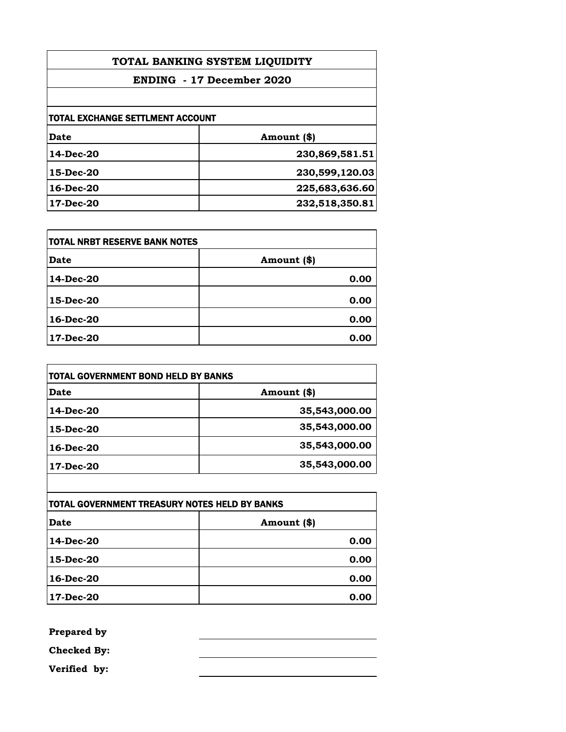| TOTAL BANKING SYSTEM LIQUIDITY   |                |
|----------------------------------|----------------|
| <b>ENDING - 17 December 2020</b> |                |
|                                  |                |
| TOTAL EXCHANGE SETTLMENT ACCOUNT |                |
| <b>Date</b>                      | Amount (\$)    |
| 14-Dec-20                        | 230,869,581.51 |
| $15$ -Dec-20                     | 230,599,120.03 |
| $16$ -Dec-20                     | 225,683,636.60 |
| 17-Dec-20                        | 232,518,350.81 |

| <b>TOTAL NRBT RESERVE BANK NOTES</b> |             |
|--------------------------------------|-------------|
| <b>Date</b>                          | Amount (\$) |
| 14-Dec-20                            | 0.00        |
| 15-Dec-20                            | 0.00        |
| $16$ -Dec-20                         | 0.00        |
| 17-Dec-20                            | 0.00        |

| TOTAL GOVERNMENT BOND HELD BY BANKS |               |
|-------------------------------------|---------------|
| Date                                | Amount (\$)   |
| 14-Dec-20                           | 35,543,000.00 |
| 15-Dec-20                           | 35,543,000.00 |
| $16$ -Dec-20                        | 35,543,000.00 |
| 17-Dec-20                           | 35,543,000.00 |

| <b>TOTAL GOVERNMENT TREASURY NOTES HELD BY BANKS</b> |             |
|------------------------------------------------------|-------------|
| Date                                                 | Amount (\$) |
| 14-Dec-20                                            | 0.00        |
| 15-Dec-20                                            | 0.00        |
| 16-Dec-20                                            | 0.00        |
| 17-Dec-20                                            | 0.00        |